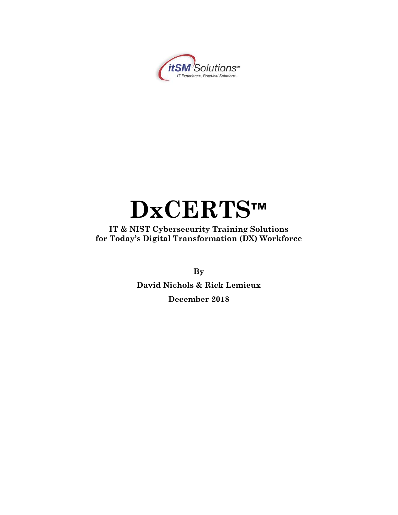

# **DxCERTS™**

**IT & NIST Cybersecurity Training Solutions for Today's Digital Transformation (DX) Workforce** 

**By**

**David Nichols & Rick Lemieux December 2018**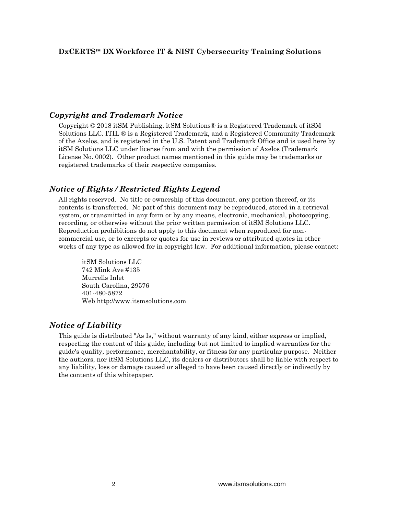## *Copyright and Trademark Notice*

Copyright  $\odot$  2018 it SM Publishing. it SM Solutions  $\odot$  is a Registered Trademark of it SM Solutions LLC. ITIL ® is a Registered Trademark, and a Registered Community Trademark of the Axelos, and is registered in the U.S. Patent and Trademark Office and is used here by itSM Solutions LLC under license from and with the permission of Axelos (Trademark License No. 0002). Other product names mentioned in this guide may be trademarks or registered trademarks of their respective companies.

## *Notice of Rights / Restricted Rights Legend*

All rights reserved. No title or ownership of this document, any portion thereof, or its contents is transferred. No part of this document may be reproduced, stored in a retrieval system, or transmitted in any form or by any means, electronic, mechanical, photocopying, recording, or otherwise without the prior written permission of itSM Solutions LLC. Reproduction prohibitions do not apply to this document when reproduced for noncommercial use, or to excerpts or quotes for use in reviews or attributed quotes in other works of any type as allowed for in copyright law. For additional information, please contact:

itSM Solutions LLC 742 Mink Ave #135 Murrells Inlet South Carolina, 29576 401-480-5872 Web http://www.itsmsolutions.com

## *Notice of Liability*

This guide is distributed "As Is," without warranty of any kind, either express or implied, respecting the content of this guide, including but not limited to implied warranties for the guide's quality, performance, merchantability, or fitness for any particular purpose. Neither the authors, nor itSM Solutions LLC, its dealers or distributors shall be liable with respect to any liability, loss or damage caused or alleged to have been caused directly or indirectly by the contents of this whitepaper.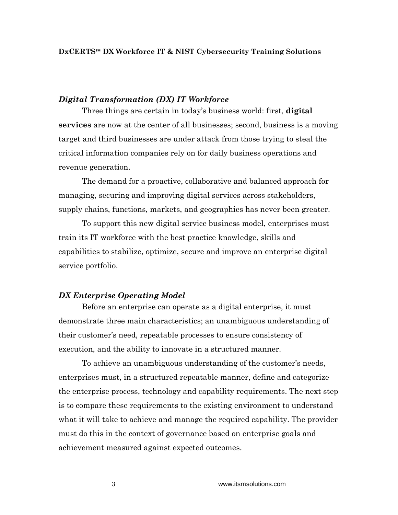## *Digital Transformation (DX) IT Workforce*

Three things are certain in today's business world: first, **digital services** are now at the center of all businesses; second, business is a moving target and third businesses are under attack from those trying to steal the critical information companies rely on for daily business operations and revenue generation.

The demand for a proactive, collaborative and balanced approach for managing, securing and improving digital services across stakeholders, supply chains, functions, markets, and geographies has never been greater.

To support this new digital service business model, enterprises must train its IT workforce with the best practice knowledge, skills and capabilities to stabilize, optimize, secure and improve an enterprise digital service portfolio.

## *DX Enterprise Operating Model*

Before an enterprise can operate as a digital enterprise, it must demonstrate three main characteristics; an unambiguous understanding of their customer's need, repeatable processes to ensure consistency of execution, and the ability to innovate in a structured manner.

To achieve an unambiguous understanding of the customer's needs, enterprises must, in a structured repeatable manner, define and categorize the enterprise process, technology and capability requirements. The next step is to compare these requirements to the existing environment to understand what it will take to achieve and manage the required capability. The provider must do this in the context of governance based on enterprise goals and achievement measured against expected outcomes.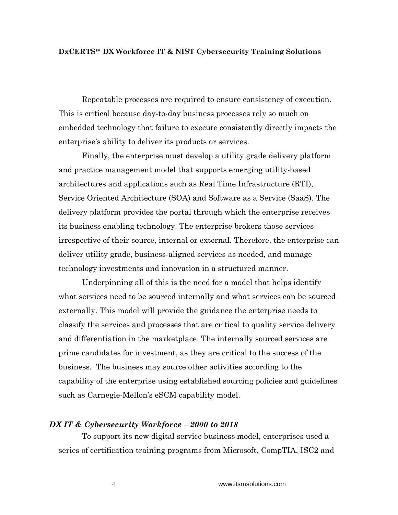Repeatable processes are required to ensure consistency of execution. This is critical because day-to-day business processes rely so much on embedded technology that failure to execute consistently directly impacts the enterprise's ability to deliver its products or services.

Finally, the enterprise must develop a utility grade delivery platform and practice management model that supports emerging utility-based architectures and applications such as Real Time Infrastructure (RTI), Service Oriented Architecture (SOA) and Software as a Service (SaaS). The delivery platform provides the portal through which the enterprise receives its business enabling technology. The enterprise brokers those services irrespective of their source, internal or external. Therefore, the enterprise can deliver utility grade, business-aligned services as needed, and manage technology investments and innovation in a structured manner.

Underpinning all of this is the need for a model that helps identify what services need to be sourced internally and what services can be sourced externally. This model will provide the guidance the enterprise needs to classify the services and processes that are critical to quality service delivery and differentiation in the marketplace. The internally sourced services are prime candidates for investment, as they are critical to the success of the business. The business may source other activities according to the capability of the enterprise using established sourcing policies and guidelines such as Carnegie-Mellon's eSCM capability model.

## *DX IT & Cybersecurity Workforce – 2000 to 2018*

To support its new digital service business model, enterprises used a series of certification training programs from Microsoft, CompTIA, ISC2 and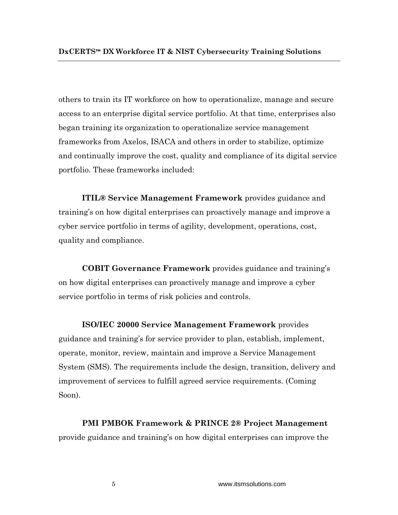others to train its IT workforce on how to operationalize, manage and secure access to an enterprise digital service portfolio. At that time, enterprises also began training its organization to operationalize service management frameworks from Axelos, ISACA and others in order to stabilize, optimize and continually improve the cost, quality and compliance of its digital service portfolio. These frameworks included:

**ITIL® Service Management Framework** provides guidance and training's on how digital enterprises can proactively manage and improve a cyber service portfolio in terms of agility, development, operations, cost, quality and compliance.

**COBIT Governance Framework** provides guidance and training's on how digital enterprises can proactively manage and improve a cyber service portfolio in terms of risk policies and controls.

**ISO/IEC 20000 Service Management Framework** provides guidance and training's for service provider to plan, establish, implement, operate, monitor, review, maintain and improve a Service Management System (SMS). The requirements include the design, transition, delivery and improvement of services to fulfill agreed service requirements. (Coming Soon).

**PMI PMBOK Framework & PRINCE 2® Project Management**  provide guidance and training's on how digital enterprises can improve the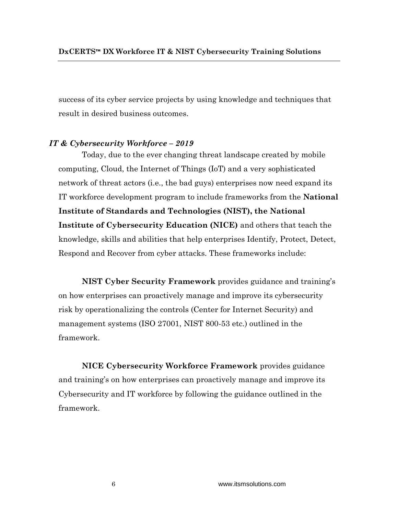success of its cyber service projects by using knowledge and techniques that result in desired business outcomes.

## *IT & Cybersecurity Workforce – 2019*

Today, due to the ever changing threat landscape created by mobile computing, Cloud, the Internet of Things (IoT) and a very sophisticated network of threat actors (i.e., the bad guys) enterprises now need expand its IT workforce development program to include frameworks from the **National Institute of Standards and Technologies (NIST), the National Institute of Cybersecurity Education (NICE)** and others that teach the knowledge, skills and abilities that help enterprises Identify, Protect, Detect, Respond and Recover from cyber attacks. These frameworks include:

**NIST Cyber Security Framework** provides guidance and training's on how enterprises can proactively manage and improve its cybersecurity risk by operationalizing the controls (Center for Internet Security) and management systems (ISO 27001, NIST 800-53 etc.) outlined in the framework.

**NICE Cybersecurity Workforce Framework** provides guidance and training's on how enterprises can proactively manage and improve its Cybersecurity and IT workforce by following the guidance outlined in the framework.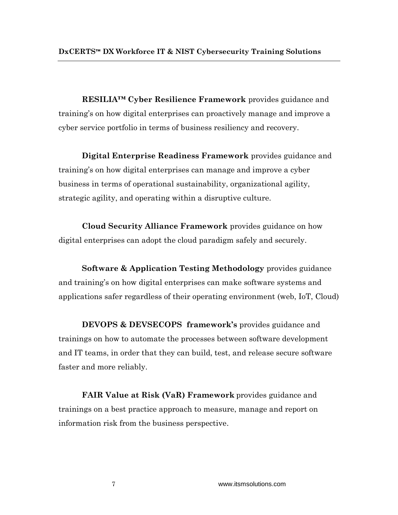**RESILIA™ Cyber Resilience Framework** provides guidance and training's on how digital enterprises can proactively manage and improve a cyber service portfolio in terms of business resiliency and recovery.

**Digital Enterprise Readiness Framework** provides guidance and training's on how digital enterprises can manage and improve a cyber business in terms of operational sustainability, organizational agility, strategic agility, and operating within a disruptive culture.

**Cloud Security Alliance Framework** provides guidance on how digital enterprises can adopt the cloud paradigm safely and securely.

**Software & Application Testing Methodology** provides guidance and training's on how digital enterprises can make software systems and applications safer regardless of their operating environment (web, IoT, Cloud)

**DEVOPS & DEVSECOPS framework's** provides guidance and trainings on how to automate the processes between software development and IT teams, in order that they can build, test, and release secure software faster and more reliably.

**FAIR Value at Risk (VaR) Framework** provides guidance and trainings on a best practice approach to measure, manage and report on information risk from the business perspective.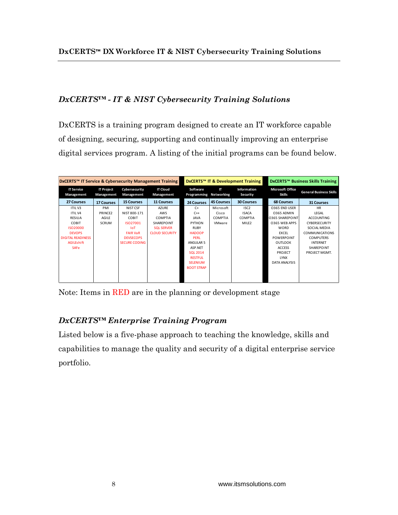# *DxCERTS™ - IT & NIST Cybersecurity Training Solutions*

DxCERTS is a training program designed to create an IT workforce capable of designing, securing, supporting and continually improving an enterprise digital services program. A listing of the initial programs can be found below.

| DxCERTS™ IT Service & Cybersecurity Management Training |                                 |                             |                               | DxCERTS™ IT & Development Training |                |                         | <b>DxCERTS™ Business Skills Training</b> |                                |
|---------------------------------------------------------|---------------------------------|-----------------------------|-------------------------------|------------------------------------|----------------|-------------------------|------------------------------------------|--------------------------------|
| <b>IT Service</b><br>Management                         | <b>IT Project</b><br>Management | Cybersecurity<br>Management | <b>IT Cloud</b><br>Management | Software<br>Programming Networking | $_{\rm{IT}}$   | Information<br>Security | <b>Microsoft Office</b><br><b>Skills</b> | <b>General Business Skills</b> |
| 27 Courses                                              | <b>17 Courses</b>               | <b>15 Courses</b>           | <b>11 Courses</b>             | 24 Courses                         | 45 Courses     | <b>30 Courses</b>       | <b>68 Courses</b>                        | <b>31 Courses</b>              |
| <b>ITILV3</b>                                           | PMI                             | NIST CSF                    | <b>AZURE</b>                  | $C+$                               | Microsoft      | ISC <sub>2</sub>        | O365 END USER                            | <b>HR</b>                      |
| <b>ITILV4</b>                                           | PRINCE2                         | NIST 800-171                | AWS                           | $C++$                              | Cisco          | <b>ISACA</b>            | 0365 ADMIN                               | LEGAL                          |
| <b>RESILIA</b>                                          | AGILE                           | COBIT                       | COMPTIA                       | <b>JAVA</b>                        | <b>COMPTIA</b> | <b>COMPTIA</b>          | <b>0365 SHAREPOINT</b>                   | <b>ACCOUNTING</b>              |
| COBIT                                                   | <b>SCRUM</b>                    | ISO27001                    | SHAREPOINT                    | <b>PYTHON</b>                      | VMware         | MILE <sub>2</sub>       | O365 WEB APPS                            | <b>CYBERSECURITY</b>           |
| ISO20000                                                |                                 | <b>InT</b>                  | <b>SQL SERVER</b>             | <b>RUBY</b>                        |                |                         | <b>WORD</b>                              | SOCIAL MEDIA                   |
| <b>DEVOPS</b>                                           |                                 | <b>FAIR VaR</b>             | <b>CLOUD SECURITY</b>         | <b>HADOOP</b>                      |                |                         | <b>EXCEL</b>                             | <b>COMMUNICATIONS</b>          |
| <b>DIGITAL READINESS</b>                                |                                 | <b>DEVSECOPS</b>            |                               | <b>PERL</b>                        |                |                         | <b>POWERPOINT</b>                        | <b>COMPUTERS</b>               |
| AGILEshift                                              |                                 | <b>SECURE CODING</b>        |                               | ANGULAR 5                          |                |                         | OUTLOOK                                  | <b>INTERNET</b>                |
| <b>SAFe</b>                                             |                                 |                             |                               | ASP.NET                            |                |                         | <b>ACCESS</b>                            | SHAREPOINT                     |
|                                                         |                                 |                             |                               | <b>SQL 2014</b>                    |                |                         | PROJECT                                  | PROJECT MGMT.                  |
|                                                         |                                 |                             |                               | <b>RESTFUL</b>                     |                |                         | <b>LYNX</b>                              |                                |
|                                                         |                                 |                             |                               | <b>SELENIUM</b>                    |                |                         | <b>DATA ANALYSIS</b>                     |                                |
|                                                         |                                 |                             |                               | <b>BOOT STRAP</b>                  |                |                         |                                          |                                |
|                                                         |                                 |                             |                               |                                    |                |                         |                                          |                                |
|                                                         |                                 |                             |                               |                                    |                |                         |                                          |                                |
|                                                         |                                 |                             |                               |                                    |                |                         |                                          |                                |

Note: Items in RED are in the planning or development stage

# *DxCERTS™ Enterprise Training Program*

Listed below is a five-phase approach to teaching the knowledge, skills and capabilities to manage the quality and security of a digital enterprise service portfolio.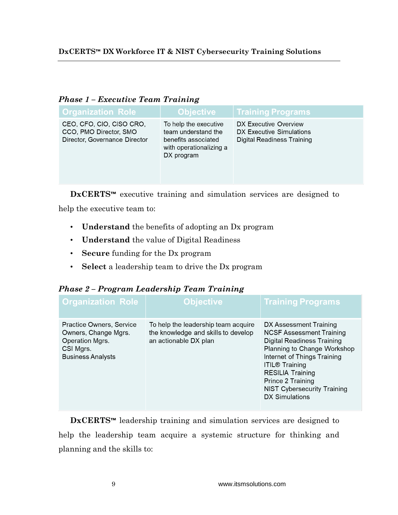| <b>Organization Role</b>                                                            | <b>Objective</b>                                                                                             | <b>Training Programs</b>                                                        |  |  |  |
|-------------------------------------------------------------------------------------|--------------------------------------------------------------------------------------------------------------|---------------------------------------------------------------------------------|--|--|--|
| CEO, CFO, CIO, CISO CRO,<br>CCO, PMO Director, SMO<br>Director, Governance Director | To help the executive<br>team understand the<br>benefits associated<br>with operationalizing a<br>DX program | DX Executive Overview<br>DX Executive Simulations<br>Digital Readiness Training |  |  |  |

## *Phase 1 – Executive Team Training*

**DxCERTS™** executive training and simulation services are designed to

help the executive team to:

- **Understand** the benefits of adopting an Dx program
- **Understand** the value of Digital Readiness
- **Secure** funding for the Dx program
- **Select** a leadership team to drive the Dx program

# *Phase 2 – Program Leadership Team Training*

| <b>Organization Role</b>                                                                                     | <b>Objective</b>                                                                                    | <b>Training Programs</b>                                                                                                                                                                                                                                                                      |
|--------------------------------------------------------------------------------------------------------------|-----------------------------------------------------------------------------------------------------|-----------------------------------------------------------------------------------------------------------------------------------------------------------------------------------------------------------------------------------------------------------------------------------------------|
| Practice Owners, Service<br>Owners, Change Mgrs.<br>Operation Mgrs.<br>CSI Mgrs.<br><b>Business Analysts</b> | To help the leadership team acquire<br>the knowledge and skills to develop<br>an actionable DX plan | DX Assessment Training<br><b>NCSF Assessment Training</b><br>Digital Readiness Training<br>Planning to Change Workshop<br>Internet of Things Training<br><b>ITIL® Training</b><br><b>RESILIA Training</b><br>Prince 2 Training<br><b>NIST Cybersecurity Training</b><br><b>DX Simulations</b> |

**DxCERTS™** leadership training and simulation services are designed to help the leadership team acquire a systemic structure for thinking and planning and the skills to: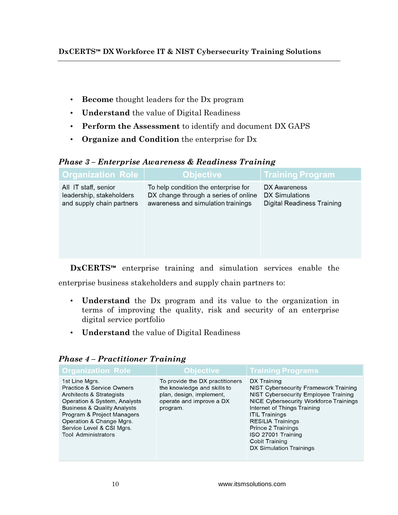- **Become** thought leaders for the Dx program
- **Understand** the value of Digital Readiness
- **Perform the Assessment** to identify and document DX GAPS
- **Organize and Condition** the enterprise for Dx

# *Phase 3 – Enterprise Awareness & Readiness Training*

| <b>Organization Role</b>                                                      | <b>Objective</b>                                                                                                   | <b>Training Program</b>                                      |
|-------------------------------------------------------------------------------|--------------------------------------------------------------------------------------------------------------------|--------------------------------------------------------------|
| All IT staff, senior<br>leadership, stakeholders<br>and supply chain partners | To help condition the enterprise for<br>DX change through a series of online<br>awareness and simulation trainings | DX Awareness<br>DX Simulations<br>Digital Readiness Training |
|                                                                               |                                                                                                                    |                                                              |

**DxCERTS™** enterprise training and simulation services enable the enterprise business stakeholders and supply chain partners to:

- **Understand** the Dx program and its value to the organization in terms of improving the quality, risk and security of an enterprise digital service portfolio
- **Understand** the value of Digital Readiness

| <b>Organization Role</b>                                                                                                                                                                                                                                                          | <b>Objective</b>                                                                                                                   | <b>Training Programs</b>                                                                                                                                                                                                                                                                                            |
|-----------------------------------------------------------------------------------------------------------------------------------------------------------------------------------------------------------------------------------------------------------------------------------|------------------------------------------------------------------------------------------------------------------------------------|---------------------------------------------------------------------------------------------------------------------------------------------------------------------------------------------------------------------------------------------------------------------------------------------------------------------|
| 1st Line Mgrs.<br><b>Practice &amp; Service Owners</b><br>Architects & Strategists<br>Operation & System, Analysts<br><b>Business &amp; Quality Analysts</b><br>Program & Project Managers<br>Operation & Change Mgrs.<br>Service Level & CSI Mgrs.<br><b>Tool Administrators</b> | To provide the DX practitioners<br>the knowledge and skills to<br>plan, design, implement,<br>operate and improve a DX<br>program. | DX Training<br>NIST Cybersecurity Framework Training<br>NIST Cybersecurity Employee Training<br>NICE Cybersecurity Workforce Trainings<br>Internet of Things Training<br><b>ITIL Trainings</b><br><b>RESILIA Trainings</b><br>Prince 2 Trainings<br>ISO 27001 Training<br>Cobit Training<br>DX Simulation Trainings |

# *Phase 4 – Practitioner Training*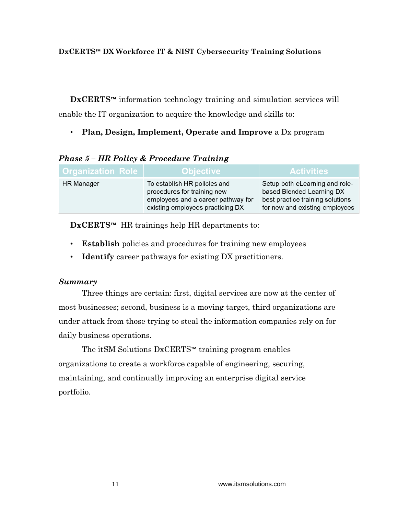**DxCERTS™** information technology training and simulation services will enable the IT organization to acquire the knowledge and skills to:

• **Plan, Design, Implement, Operate and Improve** a Dx program

| <b>Organization Role</b> | <b>Objective</b>                                                                                                                      | <b>Activities</b>                                                                                                                 |
|--------------------------|---------------------------------------------------------------------------------------------------------------------------------------|-----------------------------------------------------------------------------------------------------------------------------------|
| <b>HR</b> Manager        | To establish HR policies and<br>procedures for training new<br>employees and a career pathway for<br>existing employees practicing DX | Setup both eLearning and role-<br>based Blended Learning DX<br>best practice training solutions<br>for new and existing employees |

# *Phase 5 – HR Policy & Procedure Training*

**DxCERTS™** HR trainings help HR departments to:

- **Establish** policies and procedures for training new employees
- **Identify** career pathways for existing DX practitioners.

# *Summary*

Three things are certain: first, digital services are now at the center of most businesses; second, business is a moving target, third organizations are under attack from those trying to steal the information companies rely on for daily business operations.

The itSM Solutions DxCERTS™ training program enables organizations to create a workforce capable of engineering, securing, maintaining, and continually improving an enterprise digital service portfolio.